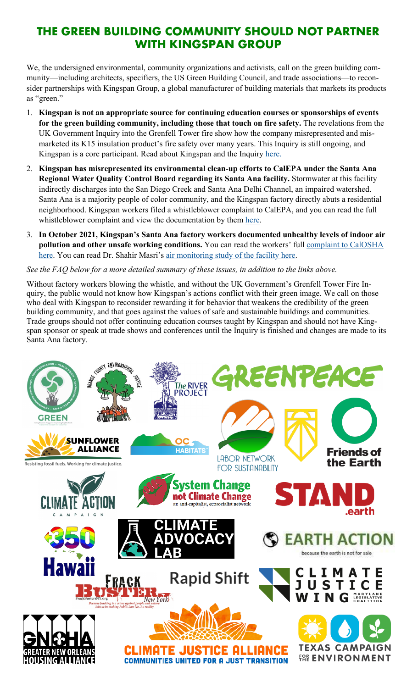# **THE GREEN BUILDING COMMUNITY SHOULD NOT PARTNER WITH KINGSPAN GROUP**

We, the undersigned environmental, community organizations and activists, call on the green building community—including architects, specifiers, the US Green Building Council, and trade associations—to reconsider partnerships with Kingspan Group, a global manufacturer of building materials that markets its products as "green."

- 1. **Kingspan is not an appropriate source for continuing education courses or sponsorships of events for the green building community, including those that touch on fire safety.** The revelations from the UK Government Inquiry into the Grenfell Tower fire show how the company misrepresented and mismarketed its K15 insulation product's fire safety over many years. This Inquiry is still ongoing, and Kingspan is a core participant. Read about Kingspan and the Inquiry [here.](https://kingspanonfire.org/)
- 2. **Kingspan has misrepresented its environmental clean-up efforts to CalEPA under the Santa Ana Regional Water Quality Control Board regarding its Santa Ana facility.** Stormwater at this facility indirectly discharges into the San Diego Creek and Santa Ana Delhi Channel, an impaired watershed. Santa Ana is a majority people of color community, and the Kingspan factory directly abuts a residential neighborhood. Kingspan workers filed a whistleblower complaint to CalEPA, and you can read the full whistleblower complaint and view the documentation by them [here.](https://cleanupkingspan.org/wp-content/uploads/2021/10/20211019_CalEPA_Region8_WaterBoard_Complaint.pdf)
- 3. **In October 2021, Kingspan's Santa Ana factory workers documented unhealthy levels of indoor air pollution and other unsafe working conditions.** You can read the workers' full complaint to CalOSHA [here.](https://cleanupkingspan.org/wp-content/uploads/2021/10/Kingspan_CalOSHA_complaint.pdf) You can read Dr. Shahir Masri's [air monitoring study of the facility here.](https://cleanupkingspan.org/wp-content/uploads/2021/10/Air-Pollution-Inside-Kingspan-Initial-Results-from-a-3-Day-Monitoring-Study.pdf)

### *See the FAQ below for a more detailed summary of these issues, in addition to the links above.*

Without factory workers blowing the whistle, and without the UK Government's Grenfell Tower Fire Inquiry, the public would not know how Kingspan's actions conflict with their green image. We call on those who deal with Kingspan to reconsider rewarding it for behavior that weakens the credibility of the green building community, and that goes against the values of safe and sustainable buildings and communities. Trade groups should not offer continuing education courses taught by Kingspan and should not have Kingspan sponsor or speak at trade shows and conferences until the Inquiry is finished and changes are made to its Santa Ana factory.